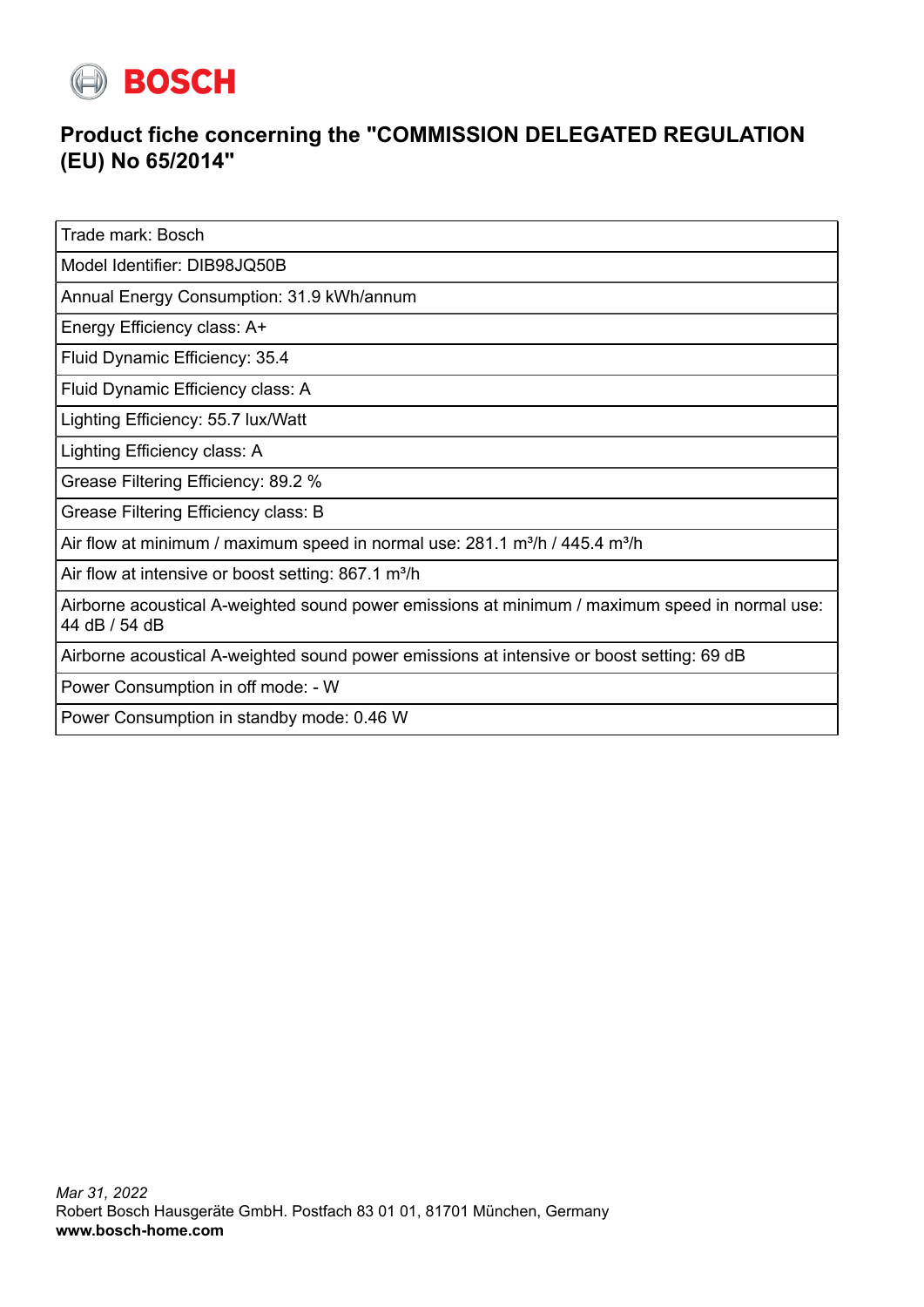

## **Product fiche concerning the "COMMISSION DELEGATED REGULATION (EU) No 65/2014"**

Trade mark: Bosch

Model Identifier: DIB98JQ50B

Annual Energy Consumption: 31.9 kWh/annum

Energy Efficiency class: A+

Fluid Dynamic Efficiency: 35.4

Fluid Dynamic Efficiency class: A

Lighting Efficiency: 55.7 lux/Watt

Lighting Efficiency class: A

Grease Filtering Efficiency: 89.2 %

Grease Filtering Efficiency class: B

Air flow at minimum / maximum speed in normal use:  $281.1$  m<sup>3</sup>/h / 445.4 m<sup>3</sup>/h

Air flow at intensive or boost setting: 867.1 m<sup>3</sup>/h

Airborne acoustical A-weighted sound power emissions at minimum / maximum speed in normal use: 44 dB / 54 dB

Airborne acoustical A-weighted sound power emissions at intensive or boost setting: 69 dB

Power Consumption in off mode: - W

Power Consumption in standby mode: 0.46 W